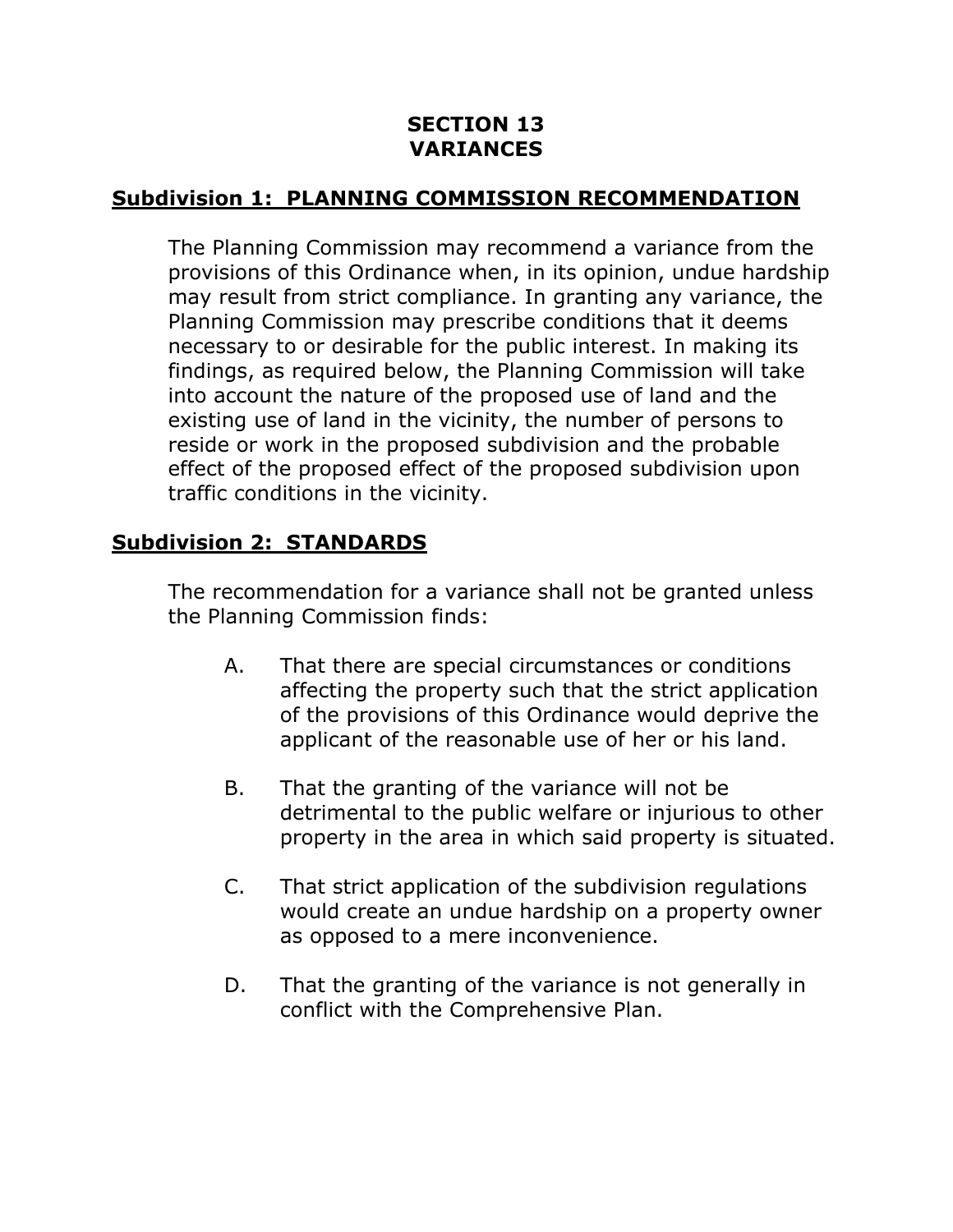#### **SECTION 13 VARIANCES**

## **Subdivision 1: PLANNING COMMISSION RECOMMENDATION**

The Planning Commission may recommend a variance from the provisions of this Ordinance when, in its opinion, undue hardship may result from strict compliance. In granting any variance, the Planning Commission may prescribe conditions that it deems necessary to or desirable for the public interest. In making its findings, as required below, the Planning Commission will take into account the nature of the proposed use of land and the existing use of land in the vicinity, the number of persons to reside or work in the proposed subdivision and the probable effect of the proposed effect of the proposed subdivision upon traffic conditions in the vicinity.

#### **Subdivision 2: STANDARDS**

The recommendation for a variance shall not be granted unless the Planning Commission finds:

- A. That there are special circumstances or conditions affecting the property such that the strict application of the provisions of this Ordinance would deprive the applicant of the reasonable use of her or his land.
- B. That the granting of the variance will not be detrimental to the public welfare or injurious to other property in the area in which said property is situated.
- C. That strict application of the subdivision regulations would create an undue hardship on a property owner as opposed to a mere inconvenience.
- D. That the granting of the variance is not generally in conflict with the Comprehensive Plan.